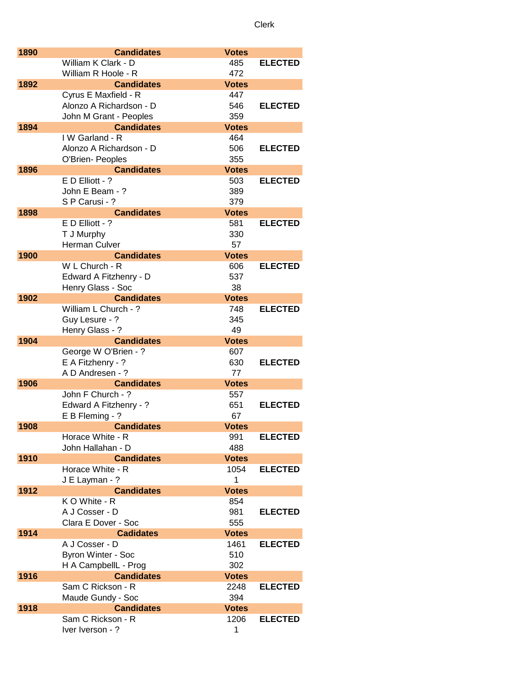| 1890 | <b>Candidates</b>                     | <b>Votes</b> |                |
|------|---------------------------------------|--------------|----------------|
|      | William K Clark - D                   | 485          | <b>ELECTED</b> |
|      | William R Hoole - R                   | 472          |                |
| 1892 | <b>Candidates</b>                     | <b>Votes</b> |                |
|      | Cyrus E Maxfield - R                  | 447          |                |
|      | Alonzo A Richardson - D               | 546          | <b>ELECTED</b> |
|      | John M Grant - Peoples                | 359          |                |
| 1894 | <b>Candidates</b>                     | <b>Votes</b> |                |
|      | IW Garland - R                        | 464          |                |
|      | Alonzo A Richardson - D               | 506          | <b>ELECTED</b> |
|      |                                       | 355          |                |
|      | O'Brien- Peoples<br><b>Candidates</b> |              |                |
| 1896 |                                       | <b>Votes</b> |                |
|      | E D Elliott - ?                       | 503          | <b>ELECTED</b> |
|      | John E Beam - ?                       | 389          |                |
|      | S P Carusi - ?                        | 379          |                |
| 1898 | <b>Candidates</b>                     | <b>Votes</b> |                |
|      | $E$ D Elliott - ?                     | 581          | <b>ELECTED</b> |
|      | T J Murphy                            | 330          |                |
|      | Herman Culver                         | 57           |                |
| 1900 | <b>Candidates</b>                     | <b>Votes</b> |                |
|      | W L Church - R                        | 606          | <b>ELECTED</b> |
|      | Edward A Fitzhenry - D                | 537          |                |
|      | Henry Glass - Soc                     | 38           |                |
| 1902 | <b>Candidates</b>                     | <b>Votes</b> |                |
|      | William L Church - ?                  | 748          | <b>ELECTED</b> |
|      | Guy Lesure - ?                        | 345          |                |
|      | Henry Glass - ?                       | 49           |                |
| 1904 | <b>Candidates</b>                     | <b>Votes</b> |                |
|      | George W O'Brien - ?                  | 607          |                |
|      | E A Fitzhenry - ?                     | 630          | <b>ELECTED</b> |
|      | A D Andresen - ?                      | 77           |                |
| 1906 | <b>Candidates</b>                     | <b>Votes</b> |                |
|      | John F Church - ?                     | 557          |                |
|      | Edward A Fitzhenry - ?                | 651          | <b>ELECTED</b> |
|      | E B Fleming - ?                       | 67           |                |
|      | <b>Candidates</b>                     |              |                |
| 1908 |                                       | <b>Votes</b> |                |
|      | Horace White - R                      | 991          | <b>ELECTED</b> |
|      | John Hallahan - D                     | 488          |                |
| 1910 | <b>Candidates</b>                     | <b>Votes</b> |                |
|      | Horace White - R                      | 1054         | <b>ELECTED</b> |
|      | J E Layman - ?                        | 1            |                |
| 1912 | <b>Candidates</b>                     | <b>Votes</b> |                |
|      | K O White - R                         | 854          |                |
|      | A J Cosser - D                        | 981          | <b>ELECTED</b> |
|      | Clara E Dover - Soc                   | 555          |                |
| 1914 | <b>Cadidates</b>                      | <b>Votes</b> |                |
|      | A J Cosser - D                        | 1461         | <b>ELECTED</b> |
|      | <b>Byron Winter - Soc</b>             | 510          |                |
|      | H A CampbellL - Prog                  | 302          |                |
| 1916 | <b>Candidates</b>                     | <b>Votes</b> |                |
|      | Sam C Rickson - R                     | 2248         | <b>ELECTED</b> |
|      | Maude Gundy - Soc                     | 394          |                |
| 1918 | <b>Candidates</b>                     | <b>Votes</b> |                |
|      | Sam C Rickson - R                     | 1206         | <b>ELECTED</b> |
|      | Iver Iverson - ?                      | 1            |                |